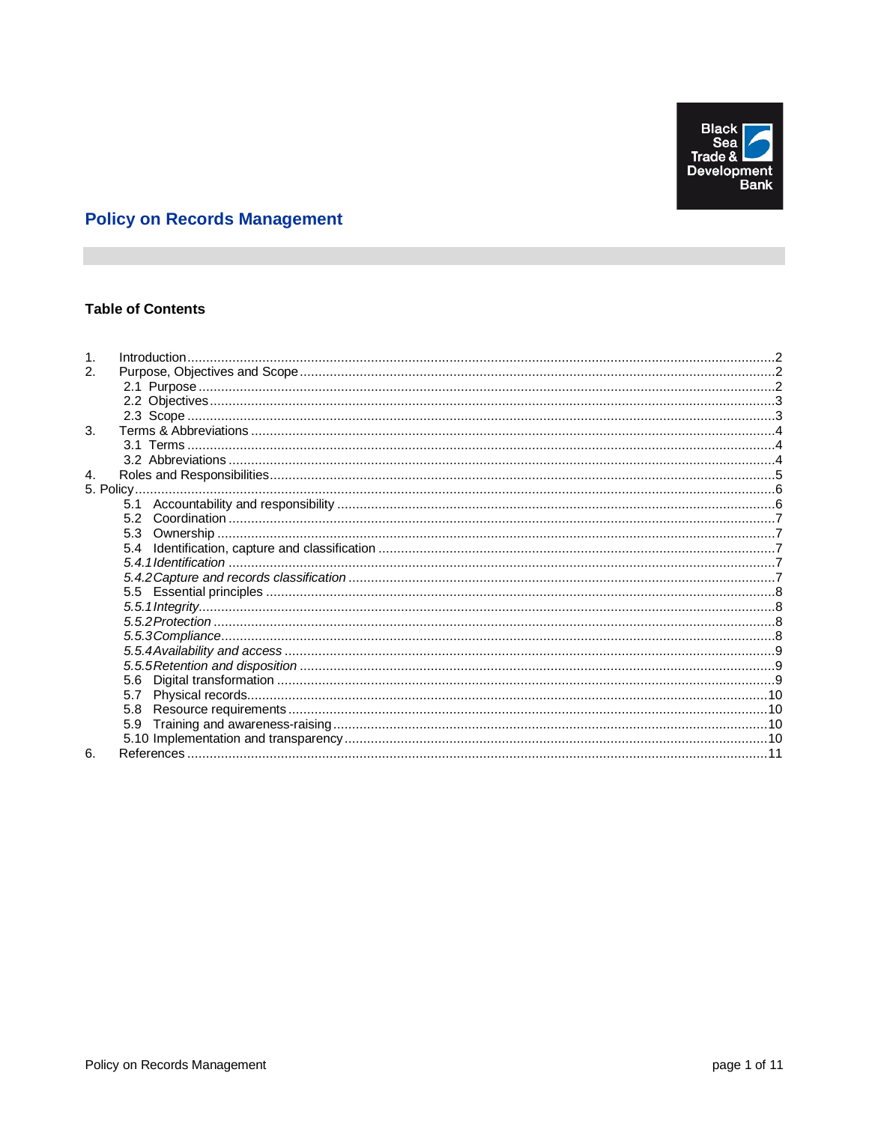

# **Policy on Records Management**

# **Table of Contents**

| 2.             |  |
|----------------|--|
|                |  |
|                |  |
|                |  |
| 3.             |  |
|                |  |
|                |  |
| $\mathbf{4}$ . |  |
|                |  |
|                |  |
|                |  |
|                |  |
|                |  |
|                |  |
|                |  |
|                |  |
|                |  |
|                |  |
|                |  |
|                |  |
|                |  |
|                |  |
|                |  |
|                |  |
|                |  |
|                |  |
| 6.             |  |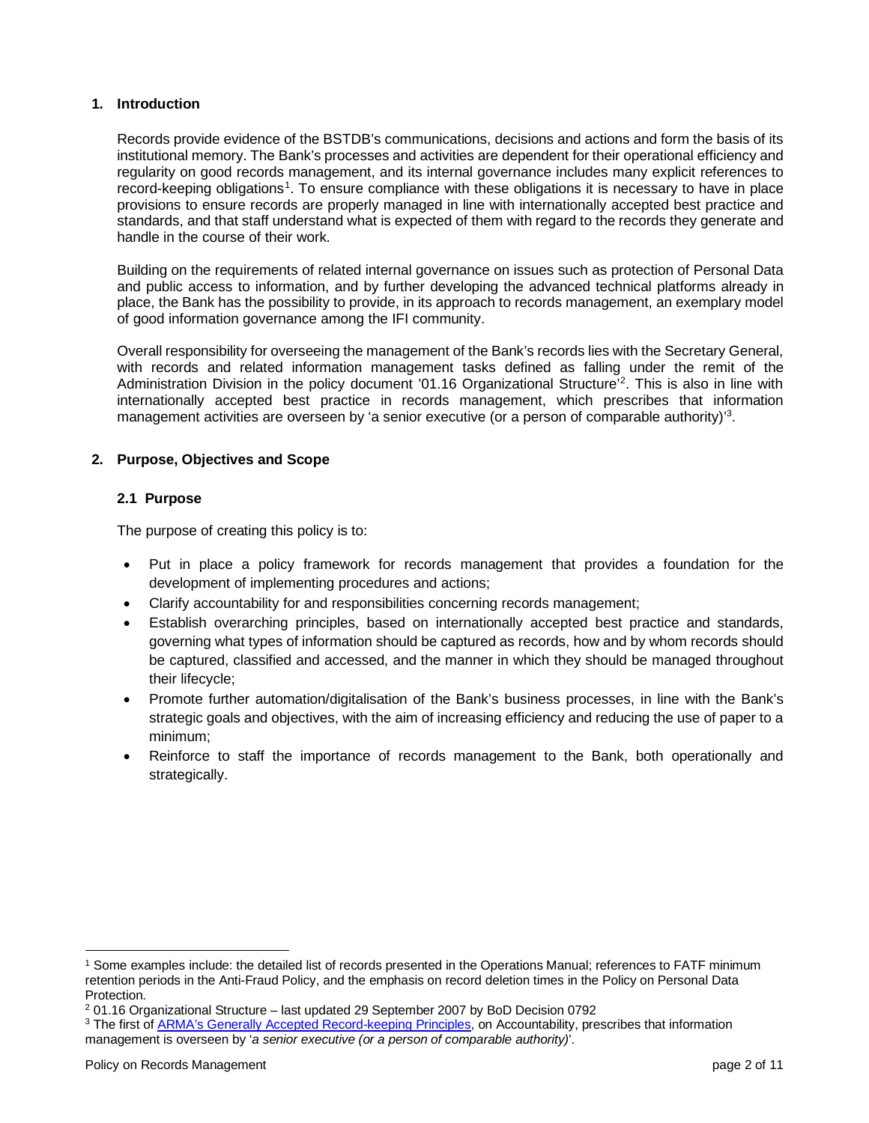#### <span id="page-1-0"></span>**1. Introduction**

Records provide evidence of the BSTDB's communications, decisions and actions and form the basis of its institutional memory. The Bank's processes and activities are dependent for their operational efficiency and regularity on good records management, and its internal governance includes many explicit references to record-keeping obligations<sup>[1](#page-1-3)</sup>. To ensure compliance with these obligations it is necessary to have in place provisions to ensure records are properly managed in line with internationally accepted best practice and standards, and that staff understand what is expected of them with regard to the records they generate and handle in the course of their work.

Building on the requirements of related internal governance on issues such as protection of Personal Data and public access to information, and by further developing the advanced technical platforms already in place, the Bank has the possibility to provide, in its approach to records management, an exemplary model of good information governance among the IFI community.

Overall responsibility for overseeing the management of the Bank's records lies with the Secretary General, with records and related information management tasks defined as falling under the remit of the Administration Division in the policy document '01.16 Organizational Structure'<sup>2</sup>. This is also in line with internationally accepted best practice in records management, which prescribes that information management activities are overseen by 'a senior executive (or a person of comparable authority)<sup>3</sup>.

## <span id="page-1-1"></span>**2. Purpose, Objectives and Scope**

## <span id="page-1-2"></span>**2.1 Purpose**

The purpose of creating this policy is to:

- Put in place a policy framework for records management that provides a foundation for the development of implementing procedures and actions;
- Clarify accountability for and responsibilities concerning records management;
- Establish overarching principles, based on internationally accepted best practice and standards, governing what types of information should be captured as records, how and by whom records should be captured, classified and accessed, and the manner in which they should be managed throughout their lifecycle;
- Promote further automation/digitalisation of the Bank's business processes, in line with the Bank's strategic goals and objectives, with the aim of increasing efficiency and reducing the use of paper to a minimum;
- Reinforce to staff the importance of records management to the Bank, both operationally and strategically.

<span id="page-1-3"></span><sup>1</sup> Some examples include: the detailed list of records presented in the Operations Manual; references to FATF minimum retention periods in the Anti-Fraud Policy, and the emphasis on record deletion times in the Policy on Personal Data Protection.

<span id="page-1-4"></span><sup>2</sup> 01.16 Organizational Structure – last updated 29 September 2007 by BoD Decision 0792

<span id="page-1-5"></span><sup>3</sup> The first of [ARMA's Generally Accepted Record-keeping Principles,](https://www.arma.org/page/principles) on Accountability, prescribes that information management is overseen by '*a senior executive (or a person of comparable authority)*'.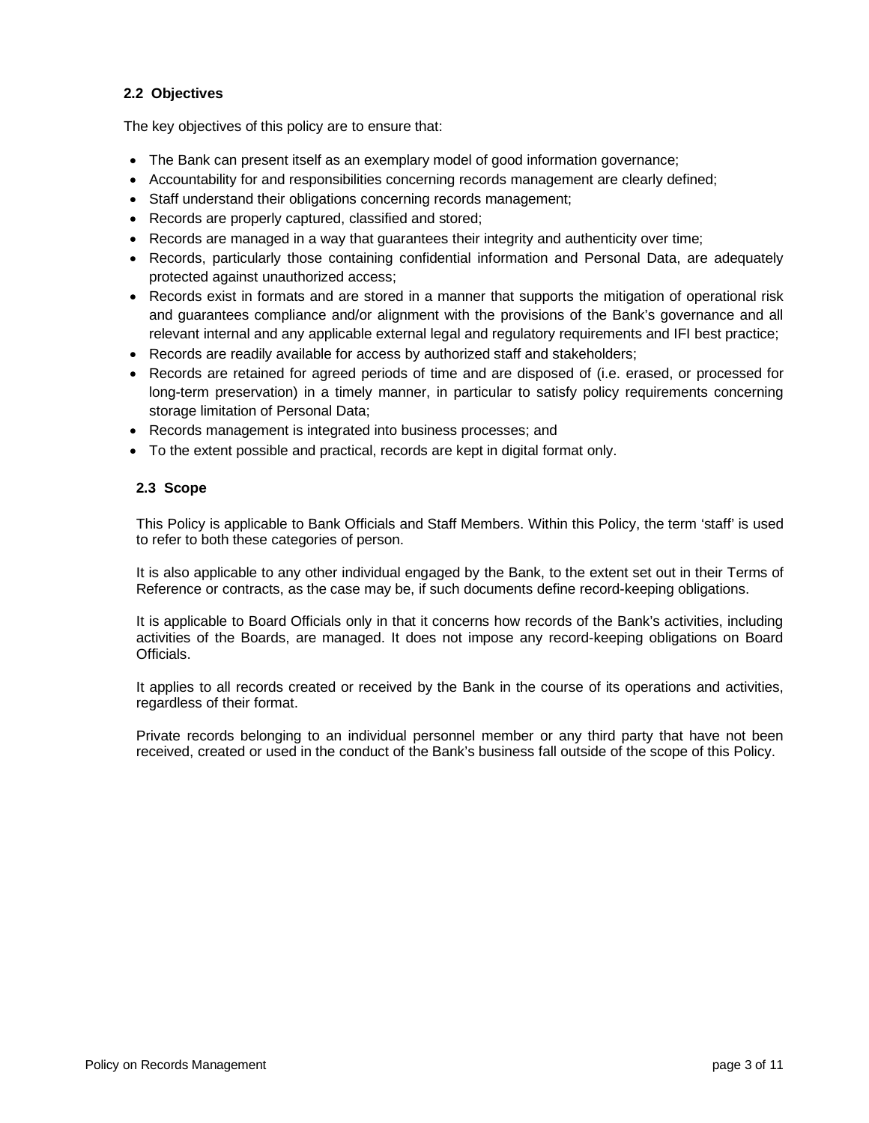# <span id="page-2-0"></span>**2.2 Objectives**

The key objectives of this policy are to ensure that:

- The Bank can present itself as an exemplary model of good information governance;
- Accountability for and responsibilities concerning records management are clearly defined;
- Staff understand their obligations concerning records management;
- Records are properly captured, classified and stored;
- Records are managed in a way that guarantees their integrity and authenticity over time;
- Records, particularly those containing confidential information and Personal Data, are adequately protected against unauthorized access;
- Records exist in formats and are stored in a manner that supports the mitigation of operational risk and guarantees compliance and/or alignment with the provisions of the Bank's governance and all relevant internal and any applicable external legal and regulatory requirements and IFI best practice;
- Records are readily available for access by authorized staff and stakeholders;
- Records are retained for agreed periods of time and are disposed of (i.e. erased, or processed for long-term preservation) in a timely manner, in particular to satisfy policy requirements concerning storage limitation of Personal Data;
- Records management is integrated into business processes; and
- To the extent possible and practical, records are kept in digital format only.

## <span id="page-2-1"></span>**2.3 Scope**

This Policy is applicable to Bank Officials and Staff Members. Within this Policy, the term 'staff' is used to refer to both these categories of person.

It is also applicable to any other individual engaged by the Bank, to the extent set out in their Terms of Reference or contracts, as the case may be, if such documents define record-keeping obligations.

It is applicable to Board Officials only in that it concerns how records of the Bank's activities, including activities of the Boards, are managed. It does not impose any record-keeping obligations on Board Officials.

It applies to all records created or received by the Bank in the course of its operations and activities, regardless of their format.

Private records belonging to an individual personnel member or any third party that have not been received, created or used in the conduct of the Bank's business fall outside of the scope of this Policy.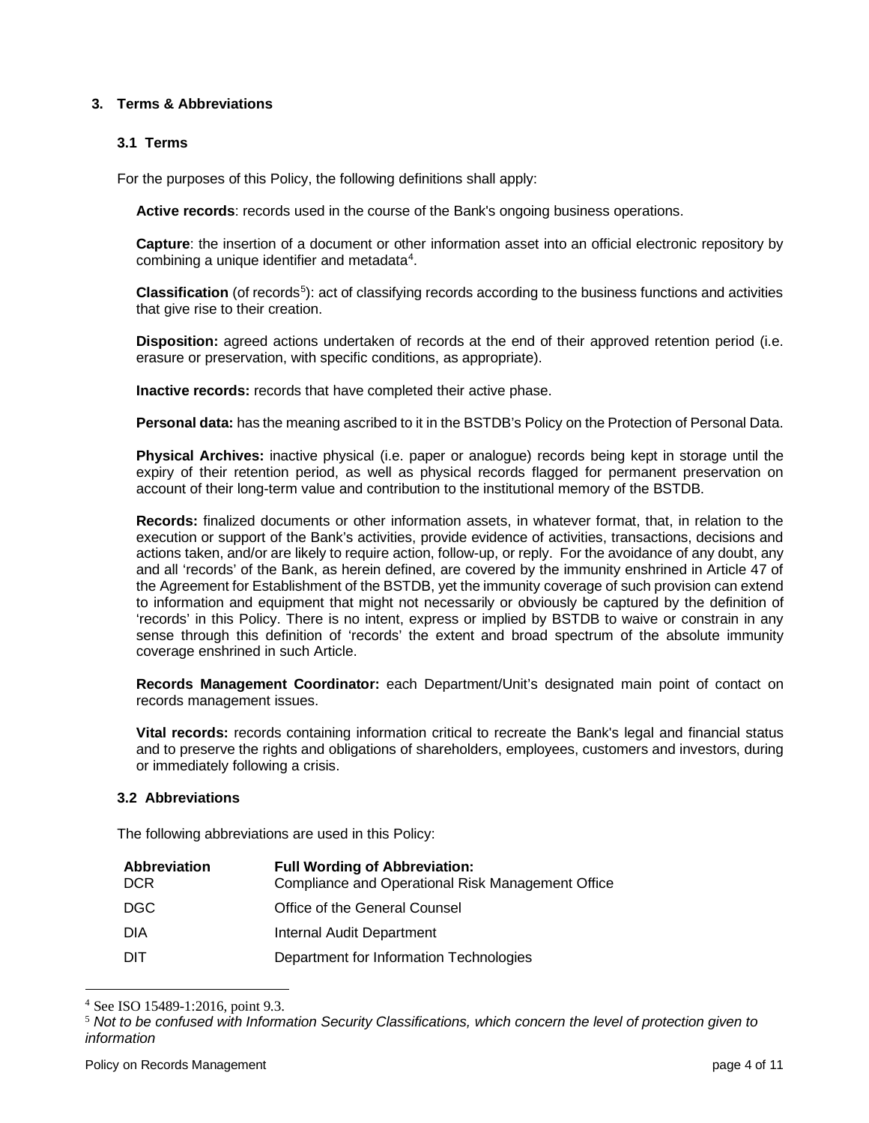## <span id="page-3-0"></span>**3. Terms & Abbreviations**

#### <span id="page-3-1"></span>**3.1 Terms**

For the purposes of this Policy, the following definitions shall apply:

**Active records**: records used in the course of the Bank's ongoing business operations.

**Capture**: the insertion of a document or other information asset into an official electronic repository by combining a unique identifier and metadata<sup>[4](#page-3-3)</sup>.

**Classification** (of records<sup>5</sup>): act of classifying records according to the business functions and activities that give rise to their creation.

**Disposition:** agreed actions undertaken of records at the end of their approved retention period (i.e. erasure or preservation, with specific conditions, as appropriate).

**Inactive records:** records that have completed their active phase.

**Personal data:** has the meaning ascribed to it in the BSTDB's Policy on the Protection of Personal Data.

**Physical Archives:** inactive physical (i.e. paper or analogue) records being kept in storage until the expiry of their retention period, as well as physical records flagged for permanent preservation on account of their long-term value and contribution to the institutional memory of the BSTDB.

**Records:** finalized documents or other information assets, in whatever format, that, in relation to the execution or support of the Bank's activities, provide evidence of activities, transactions, decisions and actions taken, and/or are likely to require action, follow-up, or reply. For the avoidance of any doubt, any and all 'records' of the Bank, as herein defined, are covered by the immunity enshrined in Article 47 of the Agreement for Establishment of the BSTDB, yet the immunity coverage of such provision can extend to information and equipment that might not necessarily or obviously be captured by the definition of 'records' in this Policy. There is no intent, express or implied by BSTDB to waive or constrain in any sense through this definition of 'records' the extent and broad spectrum of the absolute immunity coverage enshrined in such Article.

**Records Management Coordinator:** each Department/Unit's designated main point of contact on records management issues.

**Vital records:** records containing information critical to recreate the Bank's legal and financial status and to preserve the rights and obligations of shareholders, employees, customers and investors, during or immediately following a crisis.

#### <span id="page-3-2"></span>**3.2 Abbreviations**

The following abbreviations are used in this Policy:

| Abbreviation<br><b>DCR</b> | <b>Full Wording of Abbreviation:</b><br>Compliance and Operational Risk Management Office |
|----------------------------|-------------------------------------------------------------------------------------------|
| DGC.                       | Office of the General Counsel                                                             |
| DIA                        | Internal Audit Department                                                                 |
| דוח                        | Department for Information Technologies                                                   |

<span id="page-3-3"></span><sup>4</sup> See ISO 15489-1:2016, point 9.3.

<span id="page-3-4"></span><sup>5</sup> *Not to be confused with Information Security Classifications, which concern the level of protection given to information*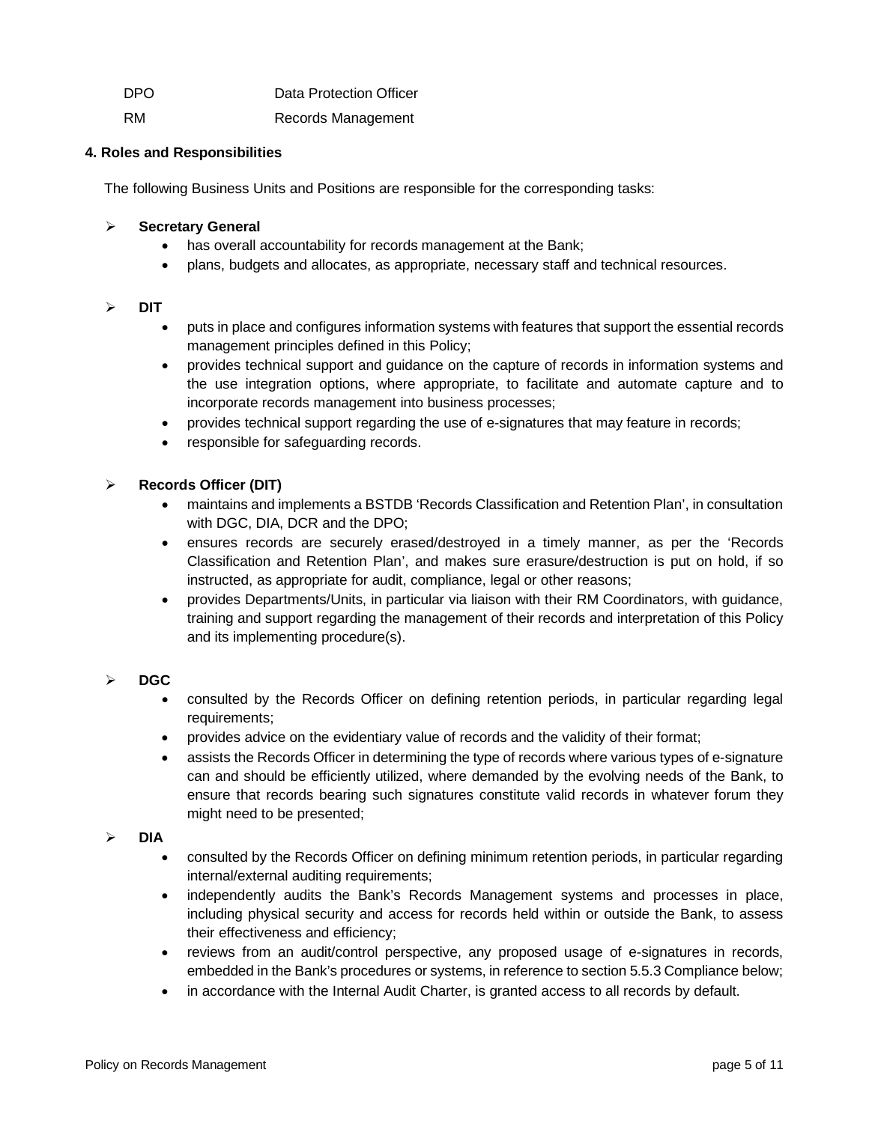| DPO | Data Protection Officer |
|-----|-------------------------|
|     |                         |

RM Records Management

# <span id="page-4-0"></span>**4. Roles and Responsibilities**

The following Business Units and Positions are responsible for the corresponding tasks:

# **Secretary General**

- has overall accountability for records management at the Bank;
- plans, budgets and allocates, as appropriate, necessary staff and technical resources.

## **DIT**

- puts in place and configures information systems with features that support the essential records management principles defined in this Policy;
- provides technical support and guidance on the capture of records in information systems and the use integration options, where appropriate, to facilitate and automate capture and to incorporate records management into business processes;
- provides technical support regarding the use of e-signatures that may feature in records;
- responsible for safeguarding records.

# **Records Officer (DIT)**

- maintains and implements a BSTDB 'Records Classification and Retention Plan', in consultation with DGC, DIA, DCR and the DPO;
- ensures records are securely erased/destroyed in a timely manner, as per the 'Records Classification and Retention Plan', and makes sure erasure/destruction is put on hold, if so instructed, as appropriate for audit, compliance, legal or other reasons;
- provides Departments/Units, in particular via liaison with their RM Coordinators, with guidance, training and support regarding the management of their records and interpretation of this Policy and its implementing procedure(s).

# **DGC**

- consulted by the Records Officer on defining retention periods, in particular regarding legal requirements;
- provides advice on the evidentiary value of records and the validity of their format;
- assists the Records Officer in determining the type of records where various types of e-signature can and should be efficiently utilized, where demanded by the evolving needs of the Bank, to ensure that records bearing such signatures constitute valid records in whatever forum they might need to be presented;

## $\triangleright$  **DIA**

- consulted by the Records Officer on defining minimum retention periods, in particular regarding internal/external auditing requirements;
- independently audits the Bank's Records Management systems and processes in place, including physical security and access for records held within or outside the Bank, to assess their effectiveness and efficiency;
- reviews from an audit/control perspective, any proposed usage of e-signatures in records, embedded in the Bank's procedures or systems, in reference to section 5.5.3 Compliance below;
- in accordance with the Internal Audit Charter, is granted access to all records by default.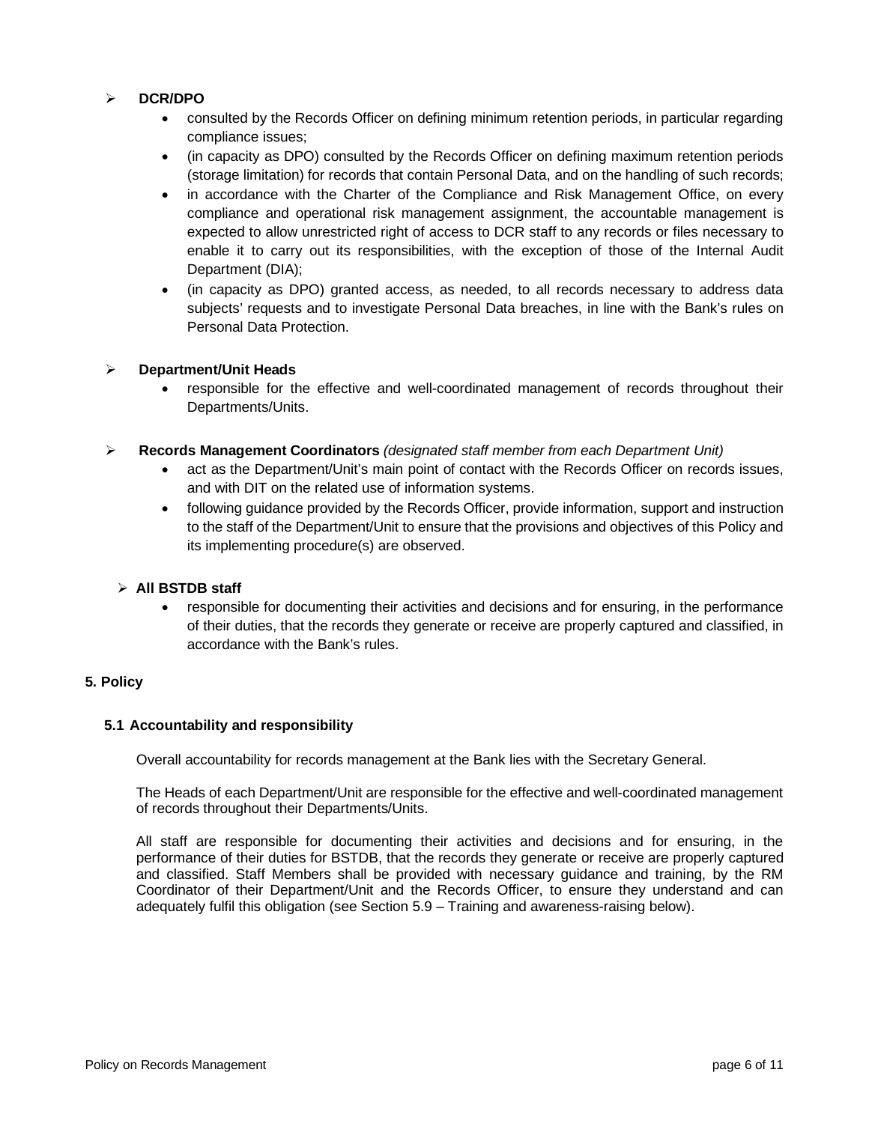## **DCR/DPO**

- consulted by the Records Officer on defining minimum retention periods, in particular regarding compliance issues;
- (in capacity as DPO) consulted by the Records Officer on defining maximum retention periods (storage limitation) for records that contain Personal Data, and on the handling of such records;
- in accordance with the Charter of the Compliance and Risk Management Office, on every compliance and operational risk management assignment, the accountable management is expected to allow unrestricted right of access to DCR staff to any records or files necessary to enable it to carry out its responsibilities, with the exception of those of the Internal Audit Department (DIA);
- (in capacity as DPO) granted access, as needed, to all records necessary to address data subjects' requests and to investigate Personal Data breaches, in line with the Bank's rules on Personal Data Protection.

## **Department/Unit Heads**

• responsible for the effective and well-coordinated management of records throughout their Departments/Units.

## **Records Management Coordinators** *(designated staff member from each Department Unit)*

- act as the Department/Unit's main point of contact with the Records Officer on records issues, and with DIT on the related use of information systems.
- following guidance provided by the Records Officer, provide information, support and instruction to the staff of the Department/Unit to ensure that the provisions and objectives of this Policy and its implementing procedure(s) are observed.

## **All BSTDB staff**

• responsible for documenting their activities and decisions and for ensuring, in the performance of their duties, that the records they generate or receive are properly captured and classified, in accordance with the Bank's rules.

## <span id="page-5-0"></span>**5. Policy**

## <span id="page-5-1"></span>**5.1 Accountability and responsibility**

Overall accountability for records management at the Bank lies with the Secretary General.

The Heads of each Department/Unit are responsible for the effective and well-coordinated management of records throughout their Departments/Units.

All staff are responsible for documenting their activities and decisions and for ensuring, in the performance of their duties for BSTDB, that the records they generate or receive are properly captured and classified. Staff Members shall be provided with necessary guidance and training, by the RM Coordinator of their Department/Unit and the Records Officer, to ensure they understand and can adequately fulfil this obligation (see Section 5.9 – Training and awareness-raising below).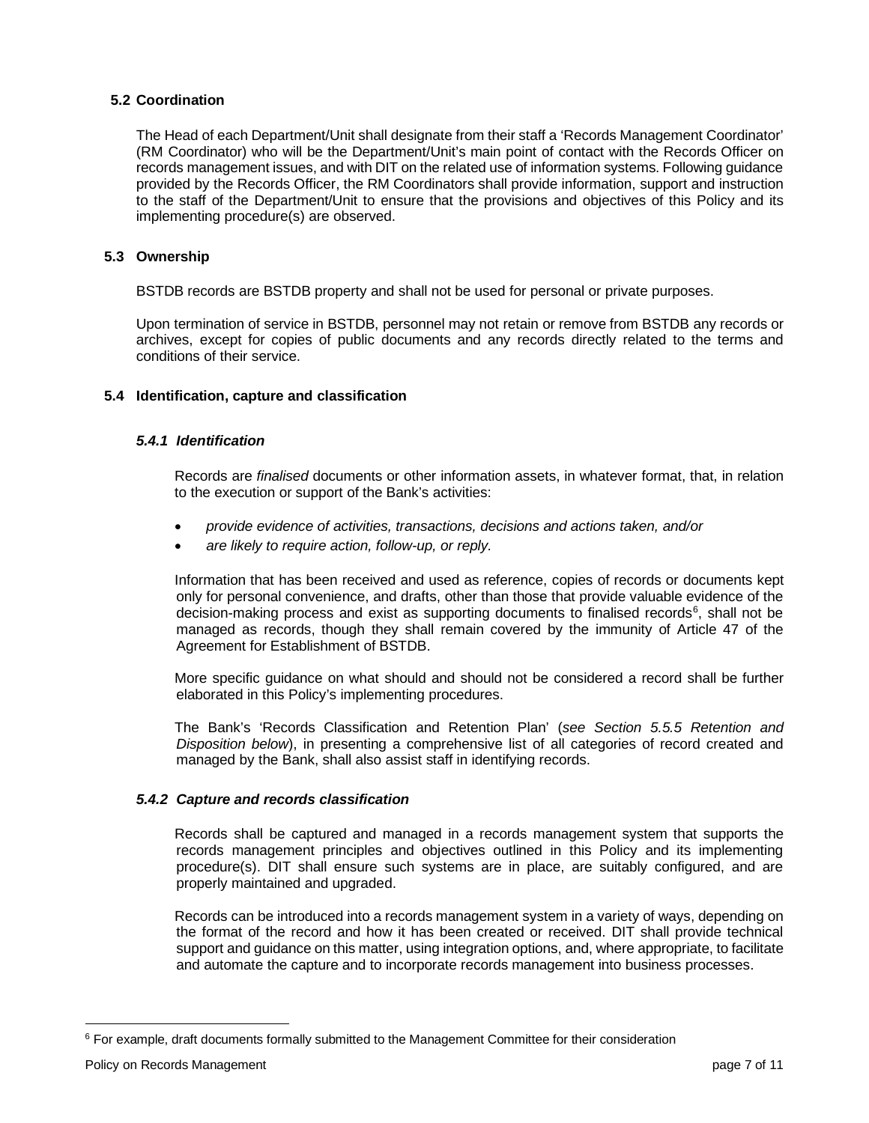## <span id="page-6-0"></span>**5.2 Coordination**

The Head of each Department/Unit shall designate from their staff a 'Records Management Coordinator' (RM Coordinator) who will be the Department/Unit's main point of contact with the Records Officer on records management issues, and with DIT on the related use of information systems. Following guidance provided by the Records Officer, the RM Coordinators shall provide information, support and instruction to the staff of the Department/Unit to ensure that the provisions and objectives of this Policy and its implementing procedure(s) are observed.

## <span id="page-6-1"></span>**5.3 Ownership**

BSTDB records are BSTDB property and shall not be used for personal or private purposes.

Upon termination of service in BSTDB, personnel may not retain or remove from BSTDB any records or archives, except for copies of public documents and any records directly related to the terms and conditions of their service.

## <span id="page-6-3"></span><span id="page-6-2"></span>**5.4 Identification, capture and classification**

## *5.4.1 Identification*

Records are *finalised* documents or other information assets, in whatever format, that, in relation to the execution or support of the Bank's activities:

- *provide evidence of activities, transactions, decisions and actions taken, and/or*
- *are likely to require action, follow-up, or reply.*

Information that has been received and used as reference, copies of records or documents kept only for personal convenience, and drafts, other than those that provide valuable evidence of the decision-making process and exist as supporting documents to finalised records<sup>[6](#page-6-5)</sup>, shall not be managed as records, though they shall remain covered by the immunity of Article 47 of the Agreement for Establishment of BSTDB.

More specific guidance on what should and should not be considered a record shall be further elaborated in this Policy's implementing procedures.

The Bank's 'Records Classification and Retention Plan' (*see Section 5.5.5 Retention and Disposition below*), in presenting a comprehensive list of all categories of record created and managed by the Bank, shall also assist staff in identifying records.

## <span id="page-6-4"></span>*5.4.2 Capture and records classification*

Records shall be captured and managed in a records management system that supports the records management principles and objectives outlined in this Policy and its implementing procedure(s). DIT shall ensure such systems are in place, are suitably configured, and are properly maintained and upgraded.

Records can be introduced into a records management system in a variety of ways, depending on the format of the record and how it has been created or received. DIT shall provide technical support and guidance on this matter, using integration options, and, where appropriate, to facilitate and automate the capture and to incorporate records management into business processes.

<span id="page-6-5"></span><sup>&</sup>lt;sup>6</sup> For example, draft documents formally submitted to the Management Committee for their consideration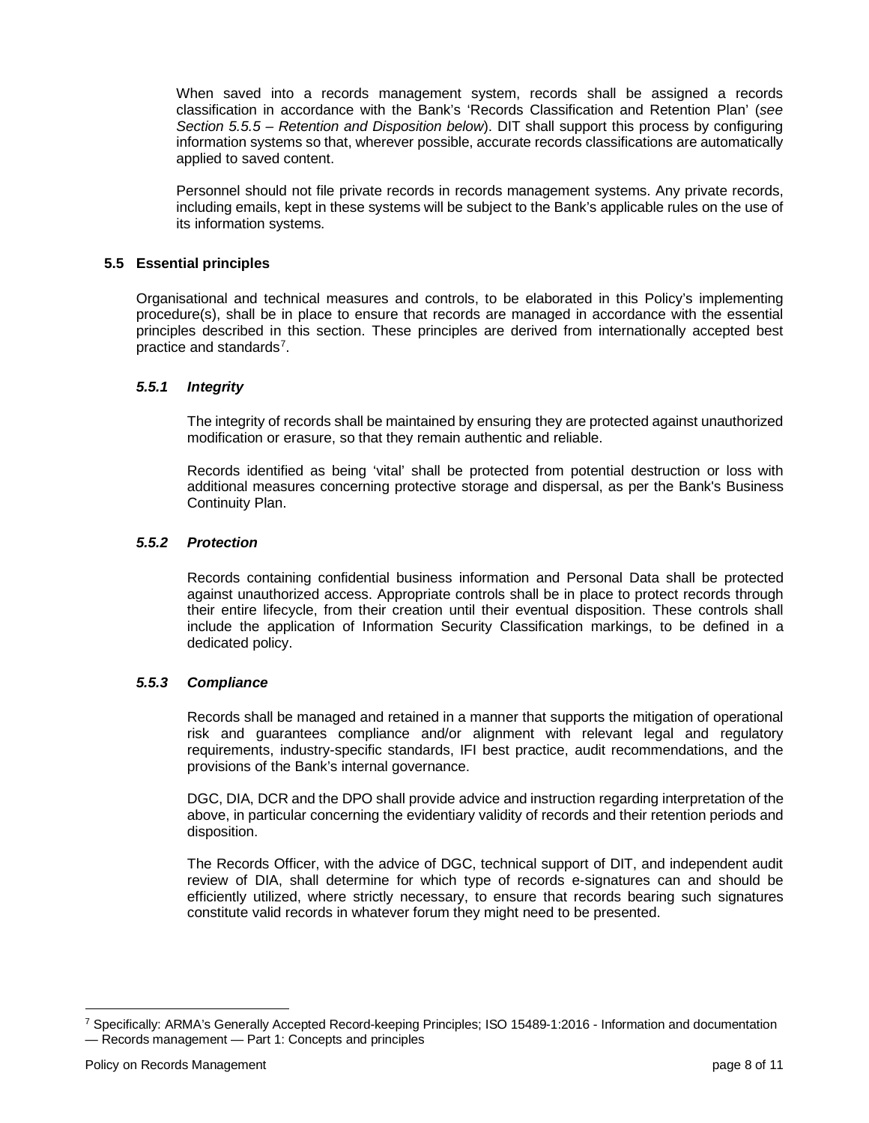When saved into a records management system, records shall be assigned a records classification in accordance with the Bank's 'Records Classification and Retention Plan' (*see Section 5.5.5 – Retention and Disposition below*). DIT shall support this process by configuring information systems so that, wherever possible, accurate records classifications are automatically applied to saved content.

Personnel should not file private records in records management systems. Any private records, including emails, kept in these systems will be subject to the Bank's applicable rules on the use of its information systems.

# <span id="page-7-0"></span>**5.5 Essential principles**

Organisational and technical measures and controls, to be elaborated in this Policy's implementing procedure(s), shall be in place to ensure that records are managed in accordance with the essential principles described in this section. These principles are derived from internationally accepted best practice and standards<sup>[7](#page-7-4)</sup>.

## <span id="page-7-1"></span>*5.5.1 Integrity*

The integrity of records shall be maintained by ensuring they are protected against unauthorized modification or erasure, so that they remain authentic and reliable.

Records identified as being 'vital' shall be protected from potential destruction or loss with additional measures concerning protective storage and dispersal, as per the Bank's Business Continuity Plan.

## <span id="page-7-2"></span>*5.5.2 Protection*

Records containing confidential business information and Personal Data shall be protected against unauthorized access. Appropriate controls shall be in place to protect records through their entire lifecycle, from their creation until their eventual disposition. These controls shall include the application of Information Security Classification markings, to be defined in a dedicated policy.

#### <span id="page-7-3"></span>*5.5.3 Compliance*

Records shall be managed and retained in a manner that supports the mitigation of operational risk and guarantees compliance and/or alignment with relevant legal and regulatory requirements, industry-specific standards, IFI best practice, audit recommendations, and the provisions of the Bank's internal governance.

DGC, DIA, DCR and the DPO shall provide advice and instruction regarding interpretation of the above, in particular concerning the evidentiary validity of records and their retention periods and disposition.

The Records Officer, with the advice of DGC, technical support of DIT, and independent audit review of DIA, shall determine for which type of records e-signatures can and should be efficiently utilized, where strictly necessary, to ensure that records bearing such signatures constitute valid records in whatever forum they might need to be presented.

<span id="page-7-4"></span><sup>7</sup> Specifically: ARMA's Generally Accepted Record-keeping Principles; ISO 15489-1:2016 - Information and documentation — Records management — Part 1: Concepts and principles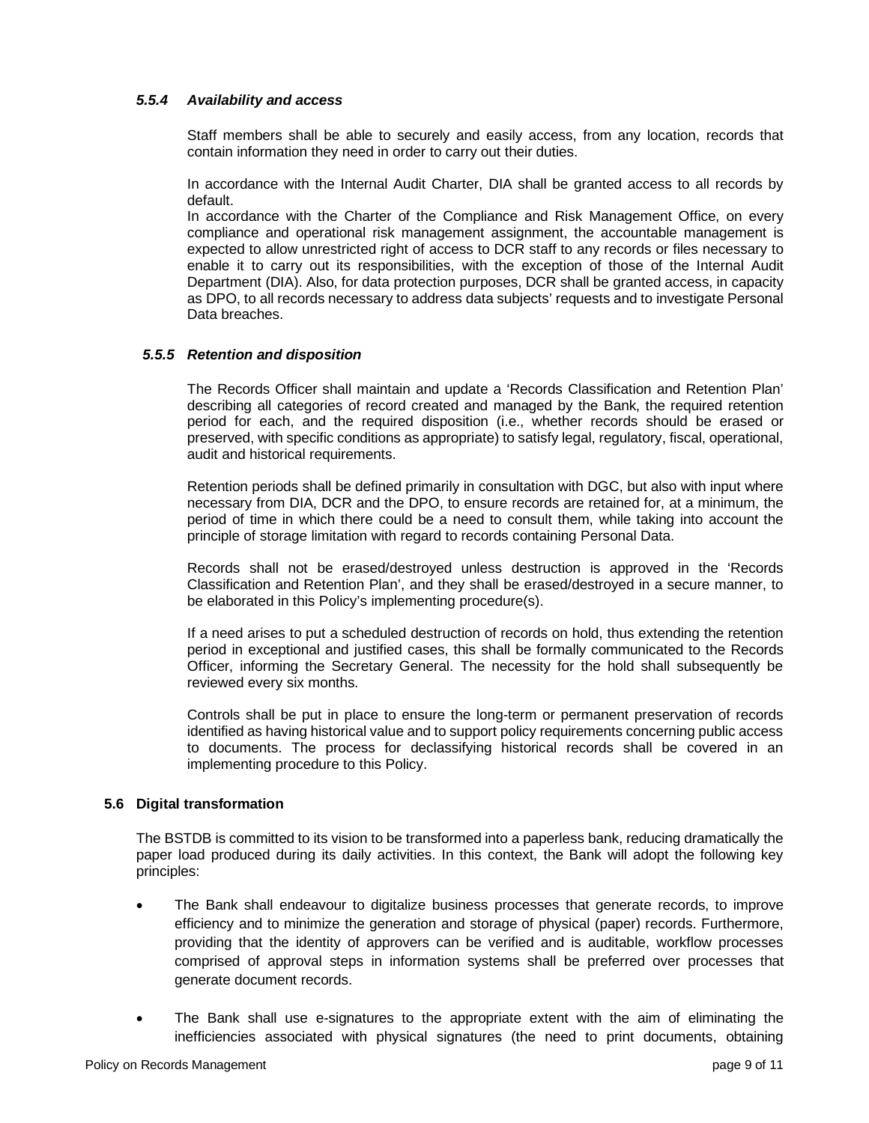## <span id="page-8-0"></span>*5.5.4 Availability and access*

Staff members shall be able to securely and easily access, from any location, records that contain information they need in order to carry out their duties.

In accordance with the Internal Audit Charter, DIA shall be granted access to all records by default.

In accordance with the Charter of the Compliance and Risk Management Office, on every compliance and operational risk management assignment, the accountable management is expected to allow unrestricted right of access to DCR staff to any records or files necessary to enable it to carry out its responsibilities, with the exception of those of the Internal Audit Department (DIA). Also, for data protection purposes, DCR shall be granted access, in capacity as DPO, to all records necessary to address data subjects' requests and to investigate Personal Data breaches.

## <span id="page-8-1"></span>*5.5.5 Retention and disposition*

The Records Officer shall maintain and update a 'Records Classification and Retention Plan' describing all categories of record created and managed by the Bank, the required retention period for each, and the required disposition (i.e., whether records should be erased or preserved, with specific conditions as appropriate) to satisfy legal, regulatory, fiscal, operational, audit and historical requirements.

Retention periods shall be defined primarily in consultation with DGC, but also with input where necessary from DIA, DCR and the DPO, to ensure records are retained for, at a minimum, the period of time in which there could be a need to consult them, while taking into account the principle of storage limitation with regard to records containing Personal Data.

Records shall not be erased/destroyed unless destruction is approved in the 'Records Classification and Retention Plan', and they shall be erased/destroyed in a secure manner, to be elaborated in this Policy's implementing procedure(s).

If a need arises to put a scheduled destruction of records on hold, thus extending the retention period in exceptional and justified cases, this shall be formally communicated to the Records Officer, informing the Secretary General. The necessity for the hold shall subsequently be reviewed every six months.

Controls shall be put in place to ensure the long-term or permanent preservation of records identified as having historical value and to support policy requirements concerning public access to documents. The process for declassifying historical records shall be covered in an implementing procedure to this Policy.

#### <span id="page-8-2"></span>**5.6 Digital transformation**

The BSTDB is committed to its vision to be transformed into a paperless bank, reducing dramatically the paper load produced during its daily activities. In this context, the Bank will adopt the following key principles:

- The Bank shall endeavour to digitalize business processes that generate records, to improve efficiency and to minimize the generation and storage of physical (paper) records. Furthermore, providing that the identity of approvers can be verified and is auditable, workflow processes comprised of approval steps in information systems shall be preferred over processes that generate document records.
- The Bank shall use e-signatures to the appropriate extent with the aim of eliminating the inefficiencies associated with physical signatures (the need to print documents, obtaining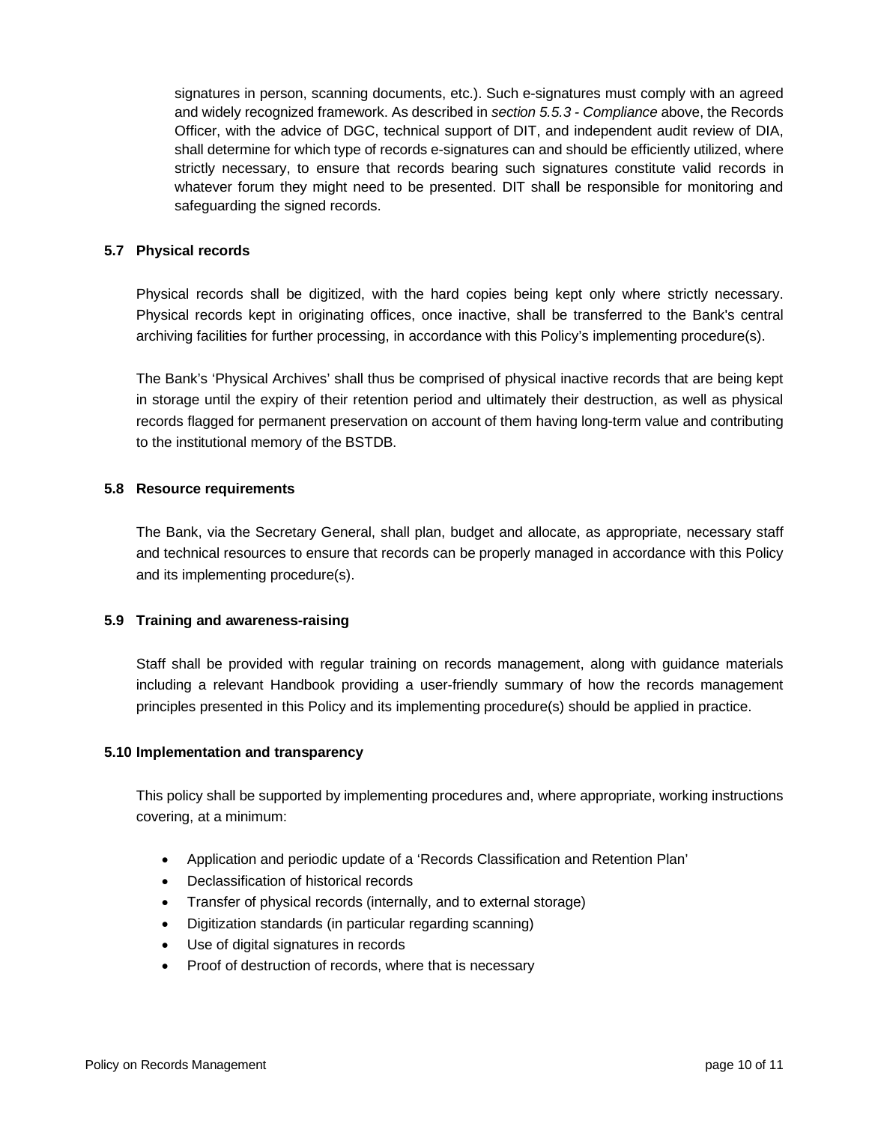signatures in person, scanning documents, etc.). Such e-signatures must comply with an agreed and widely recognized framework. As described in *section 5.5.3 - Compliance* above, the Records Officer, with the advice of DGC, technical support of DIT, and independent audit review of DIA, shall determine for which type of records e-signatures can and should be efficiently utilized, where strictly necessary, to ensure that records bearing such signatures constitute valid records in whatever forum they might need to be presented. DIT shall be responsible for monitoring and safeguarding the signed records.

## <span id="page-9-0"></span>**5.7 Physical records**

Physical records shall be digitized, with the hard copies being kept only where strictly necessary. Physical records kept in originating offices, once inactive, shall be transferred to the Bank's central archiving facilities for further processing, in accordance with this Policy's implementing procedure(s).

The Bank's 'Physical Archives' shall thus be comprised of physical inactive records that are being kept in storage until the expiry of their retention period and ultimately their destruction, as well as physical records flagged for permanent preservation on account of them having long-term value and contributing to the institutional memory of the BSTDB.

#### <span id="page-9-1"></span>**5.8 Resource requirements**

The Bank, via the Secretary General, shall plan, budget and allocate, as appropriate, necessary staff and technical resources to ensure that records can be properly managed in accordance with this Policy and its implementing procedure(s).

#### <span id="page-9-2"></span>**5.9 Training and awareness-raising**

Staff shall be provided with regular training on records management, along with guidance materials including a relevant Handbook providing a user-friendly summary of how the records management principles presented in this Policy and its implementing procedure(s) should be applied in practice.

#### <span id="page-9-3"></span>**5.10 Implementation and transparency**

This policy shall be supported by implementing procedures and, where appropriate, working instructions covering, at a minimum:

- Application and periodic update of a 'Records Classification and Retention Plan'
- Declassification of historical records
- Transfer of physical records (internally, and to external storage)
- Digitization standards (in particular regarding scanning)
- Use of digital signatures in records
- Proof of destruction of records, where that is necessary